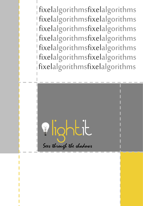fixelalgorithmsfixelalgorithms fixelalgorithmsfixelalgorithms fixelalgorithmsfixelalgorithms fixelalgorithmsfixelalgorithms fixelalgorithmsfixelalgorithms fixelalgorithmsfixelalgorithms fixelalgorithmsfixelalgorithms

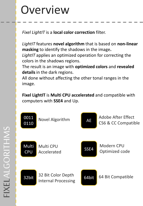### Overview

*Fixel LightIT* is a **local color correction** filter.

*LightIT* features **novel algorithm** that is based on **non-linear masking** to identify the shadows in the image**.** 

*LightIT* applies an optimized operation for correcting the colors in the shadows regions.

The result is an image with **optimized colors** and **revealed details** in the dark regions.

All done without affecting the other tonal ranges in the image.

**Fixel LightIT** is **Multi CPU accelerated** and compatible with computers with **SSE4** and Up.

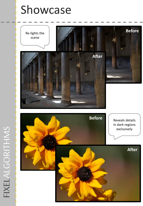## Showcase

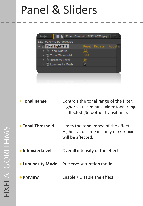## Panel & Sliders

| Project                 | <b>E</b> Effect Controls: DSC_9070.jpg |         |          |  |
|-------------------------|----------------------------------------|---------|----------|--|
| DSC_9070 · DSC_9070.jpg |                                        |         |          |  |
| Fixel LightIT 2         |                                        | Reset - | Register |  |
| ▶ Ô Tonal Radius        |                                        | 2.0     |          |  |
| ▶ Ŏ Tonal Threshold     |                                        |         |          |  |
| ▶ つ Intensity Level     |                                        |         |          |  |
| * Luminosity Mode       |                                        |         |          |  |
|                         |                                        |         |          |  |
|                         |                                        |         |          |  |
|                         |                                        |         |          |  |
|                         |                                        |         |          |  |

| + Tonal Range     | Controls the tonal range of the filter.<br>Higher values means wider tonal range<br>is affected (Smoother transitions). |  |
|-------------------|-------------------------------------------------------------------------------------------------------------------------|--|
| + Tonal Threshold | Limits the tonal range of the effect.<br>Higher values means only darker pixels<br>will be affected.                    |  |
| + Intensity Level | Overall intensity of the effect.                                                                                        |  |
| + Luminosity Mode | Preserve saturation mode.                                                                                               |  |
| + Preview         | Enable / Disable the effect.                                                                                            |  |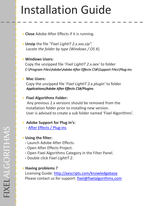# Installation Guide

- **+ Close** Adobe After Effects if it is running.
- **+ Unzip** the file "*Fixel LightIT 2.x.xxx.zip". Locate the folder by type (Windows / OS X).*

#### **+ Windows Users:**

Copy the unzipped file '*Fixel LightIT 2.x.aex'* to folder *C:\Program Files\Adobe\Adobe After Effects CS#\Support Files\Plug-ins*

#### **+ Mac Users:**

Copy the unzipped file '*Fixel LightIT 2.x.plugin'* to folder *Applications/Adobe After Effects CS#/Plugins*

#### **+ Fixel Algorithms Folder:**

Any previous 2.x versions should be removed from the installation folder prior to installing new version. User is advised to create a sub folder named 'Fixel Algorithms'.

### **+ Adobe Support for Plug In's:**

**-** [After Effects / Plug-ins](http://help.adobe.com/en_US/aftereffects/cs/using/WS858FD341-7F4F-409d-8702-E2970CC3049F.html#WS5822310e5111fa1a1577d14a1238358b0db-8000)

#### **+ Using the filter:**

- **-** Launch Adobe After Effects.
- **-** Open After Effects Project.
- **-** Open Fixel Algorithms Category in the Filter Panel.
- **-** Double click *Fixel LightIT 2*.

### **+ Having problems ?**

Licensing Guide: [http://aescripts.com/knowledgebase](http://aescripts.com/knowledgebase/) Please contact us for support: [fixel@fixelalgorithms.com](mailto:support@fixelalgorithms.com)